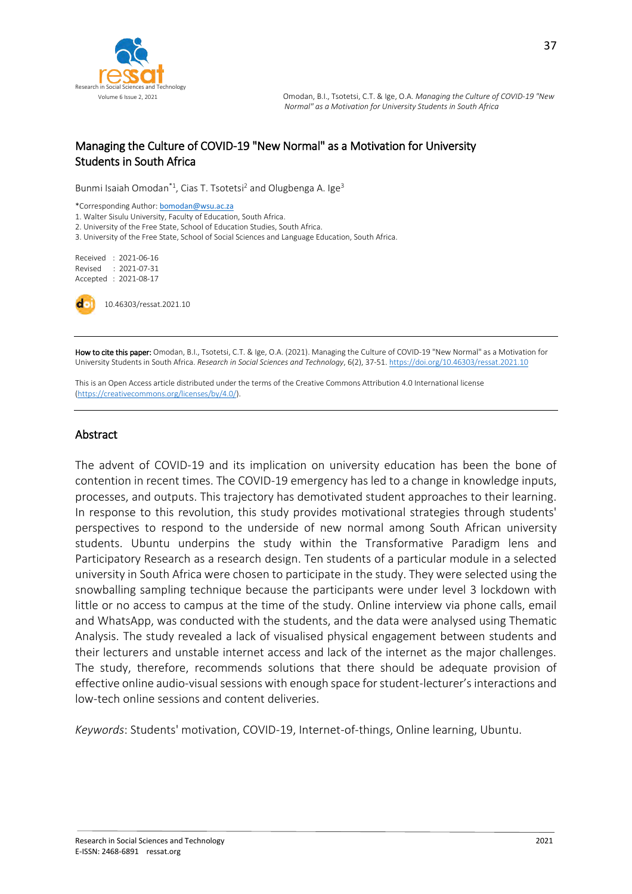

# Managing the Culture of COVID-19 "New Normal" as a Motivation for University Students in South Africa

Bunmi Isaiah Omodan<sup>\*1</sup>, Cias T. Tsotetsi<sup>2</sup> and Olugbenga A. Ige<sup>3</sup>

\*Corresponding Author: [bomodan@wsu.ac.za](mailto:bomodan@wsu.ac.za)

1. Walter Sisulu University, Faculty of Education, South Africa.

2. University of the Free State, School of Education Studies, South Africa.

3. University of the Free State, School of Social Sciences and Language Education, South Africa.

Received : 2021-06-16 Revised : 2021-07-31 Accepted : 2021-08-17

10.46303/ressat.2021.10

How to cite this paper: Omodan, B.I., Tsotetsi, C.T. & Ige, O.A. (2021). Managing the Culture of COVID-19 "New Normal" as a Motivation for University Students in South Africa. *Research in Social Sciences and Technology*, 6(2), 37-51. <https://doi.org/10.46303/ressat.2021.10>

This is an Open Access article distributed under the terms of the Creative Commons Attribution 4.0 International license [\(https://creativecommons.org/licenses/by/4.0/\).](https://creativecommons.org/licenses/by/4.0/)

#### **Abstract**

The advent of COVID-19 and its implication on university education has been the bone of contention in recent times. The COVID-19 emergency has led to a change in knowledge inputs, processes, and outputs. This trajectory has demotivated student approaches to their learning. In response to this revolution, this study provides motivational strategies through students' perspectives to respond to the underside of new normal among South African university students. Ubuntu underpins the study within the Transformative Paradigm lens and Participatory Research as a research design. Ten students of a particular module in a selected university in South Africa were chosen to participate in the study. They were selected using the snowballing sampling technique because the participants were under level 3 lockdown with little or no access to campus at the time of the study. Online interview via phone calls, email and WhatsApp, was conducted with the students, and the data were analysed using Thematic Analysis. The study revealed a lack of visualised physical engagement between students and their lecturers and unstable internet access and lack of the internet as the major challenges. The study, therefore, recommends solutions that there should be adequate provision of effective online audio-visual sessions with enough space for student-lecturer's interactions and low-tech online sessions and content deliveries.

*Keywords*: Students' motivation, COVID-19, Internet-of-things, Online learning, Ubuntu.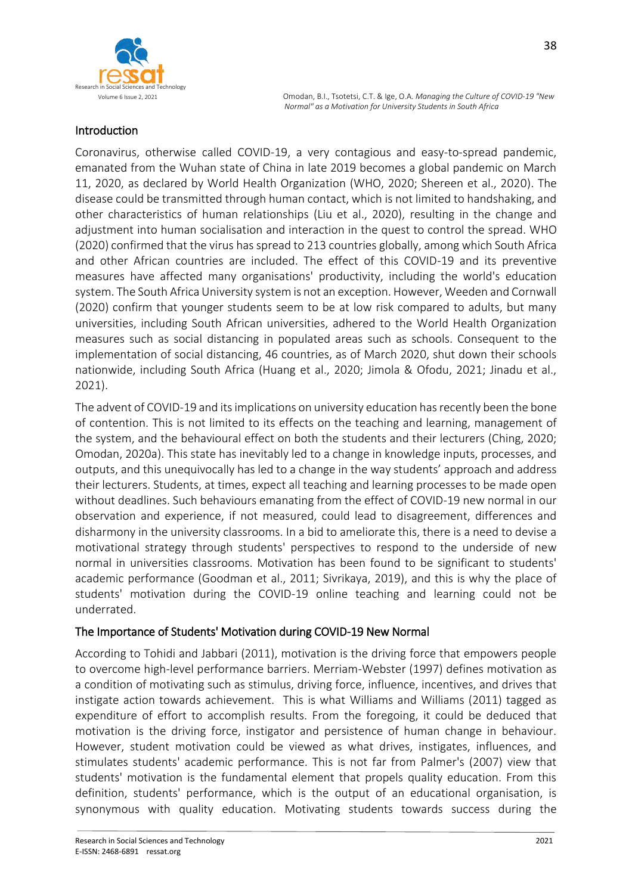

# Introduction

Coronavirus, otherwise called COVID-19, a very contagious and easy-to-spread pandemic, emanated from the Wuhan state of China in late 2019 becomes a global pandemic on March 11, 2020, as declared by World Health Organization (WHO, 2020; Shereen et al., 2020). The disease could be transmitted through human contact, which is not limited to handshaking, and other characteristics of human relationships (Liu et al., 2020), resulting in the change and adjustment into human socialisation and interaction in the quest to control the spread. WHO (2020) confirmed that the virus has spread to 213 countries globally, among which South Africa and other African countries are included. The effect of this COVID-19 and its preventive measures have affected many organisations' productivity, including the world's education system. The South Africa University system is not an exception. However, Weeden and Cornwall (2020) confirm that younger students seem to be at low risk compared to adults, but many universities, including South African universities, adhered to the World Health Organization measures such as social distancing in populated areas such as schools. Consequent to the implementation of social distancing, 46 countries, as of March 2020, shut down their schools nationwide, including South Africa (Huang et al., 2020; Jimola & Ofodu, 2021; Jinadu et al., 2021).

The advent of COVID-19 and its implications on university education has recently been the bone of contention. This is not limited to its effects on the teaching and learning, management of the system, and the behavioural effect on both the students and their lecturers (Ching, 2020; Omodan, 2020a). This state has inevitably led to a change in knowledge inputs, processes, and outputs, and this unequivocally has led to a change in the way students' approach and address their lecturers. Students, at times, expect all teaching and learning processes to be made open without deadlines. Such behaviours emanating from the effect of COVID-19 new normal in our observation and experience, if not measured, could lead to disagreement, differences and disharmony in the university classrooms. In a bid to ameliorate this, there is a need to devise a motivational strategy through students' perspectives to respond to the underside of new normal in universities classrooms. Motivation has been found to be significant to students' academic performance (Goodman et al., 2011; Sivrikaya, 2019), and this is why the place of students' motivation during the COVID-19 online teaching and learning could not be underrated.

# The Importance of Students' Motivation during COVID-19 New Normal

According to Tohidi and Jabbari (2011), motivation is the driving force that empowers people to overcome high-level performance barriers. Merriam-Webster (1997) defines motivation as a condition of motivating such as stimulus, driving force, influence, incentives, and drives that instigate action towards achievement. This is what Williams and Williams (2011) tagged as expenditure of effort to accomplish results. From the foregoing, it could be deduced that motivation is the driving force, instigator and persistence of human change in behaviour. However, student motivation could be viewed as what drives, instigates, influences, and stimulates students' academic performance. This is not far from Palmer's (2007) view that students' motivation is the fundamental element that propels quality education. From this definition, students' performance, which is the output of an educational organisation, is synonymous with quality education. Motivating students towards success during the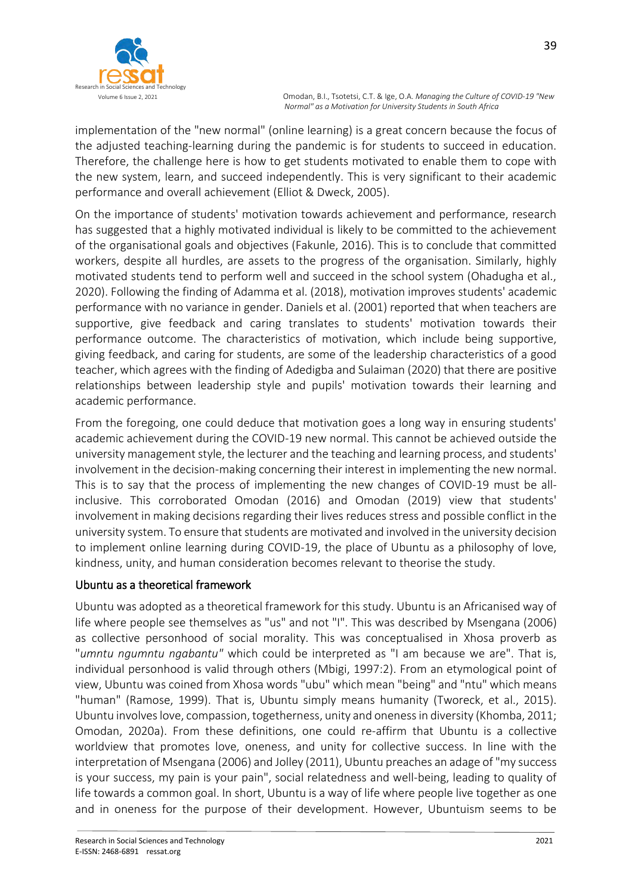

implementation of the "new normal" (online learning) is a great concern because the focus of the adjusted teaching-learning during the pandemic is for students to succeed in education. Therefore, the challenge here is how to get students motivated to enable them to cope with the new system, learn, and succeed independently. This is very significant to their academic performance and overall achievement (Elliot & Dweck, 2005).

On the importance of students' motivation towards achievement and performance, research has suggested that a highly motivated individual is likely to be committed to the achievement of the organisational goals and objectives (Fakunle, 2016). This is to conclude that committed workers, despite all hurdles, are assets to the progress of the organisation. Similarly, highly motivated students tend to perform well and succeed in the school system (Ohadugha et al., 2020). Following the finding of Adamma et al. (2018), motivation improves students' academic performance with no variance in gender. Daniels et al. (2001) reported that when teachers are supportive, give feedback and caring translates to students' motivation towards their performance outcome. The characteristics of motivation, which include being supportive, giving feedback, and caring for students, are some of the leadership characteristics of a good teacher, which agrees with the finding of Adedigba and Sulaiman (2020) that there are positive relationships between leadership style and pupils' motivation towards their learning and academic performance.

From the foregoing, one could deduce that motivation goes a long way in ensuring students' academic achievement during the COVID-19 new normal. This cannot be achieved outside the university management style, the lecturer and the teaching and learning process, and students' involvement in the decision-making concerning their interest in implementing the new normal. This is to say that the process of implementing the new changes of COVID-19 must be allinclusive. This corroborated Omodan (2016) and Omodan (2019) view that students' involvement in making decisions regarding their lives reduces stress and possible conflict in the university system. To ensure that students are motivated and involved in the university decision to implement online learning during COVID-19, the place of Ubuntu as a philosophy of love, kindness, unity, and human consideration becomes relevant to theorise the study.

# Ubuntu as a theoretical framework

Ubuntu was adopted as a theoretical framework for this study. Ubuntu is an Africanised way of life where people see themselves as "us" and not "I". This was described by Msengana (2006) as collective personhood of social morality. This was conceptualised in Xhosa proverb as "*umntu ngumntu ngabantu"* which could be interpreted as "I am because we are". That is, individual personhood is valid through others (Mbigi, 1997:2). From an etymological point of view, Ubuntu was coined from Xhosa words "ubu" which mean "being" and "ntu" which means "human" (Ramose, 1999). That is, Ubuntu simply means humanity (Tworeck, et al., 2015). Ubuntu involves love, compassion, togetherness, unity and oneness in diversity (Khomba, 2011; Omodan, 2020a). From these definitions, one could re-affirm that Ubuntu is a collective worldview that promotes love, oneness, and unity for collective success. In line with the interpretation of Msengana (2006) and Jolley (2011), Ubuntu preaches an adage of "my success is your success, my pain is your pain", social relatedness and well-being, leading to quality of life towards a common goal. In short, Ubuntu is a way of life where people live together as one and in oneness for the purpose of their development. However, Ubuntuism seems to be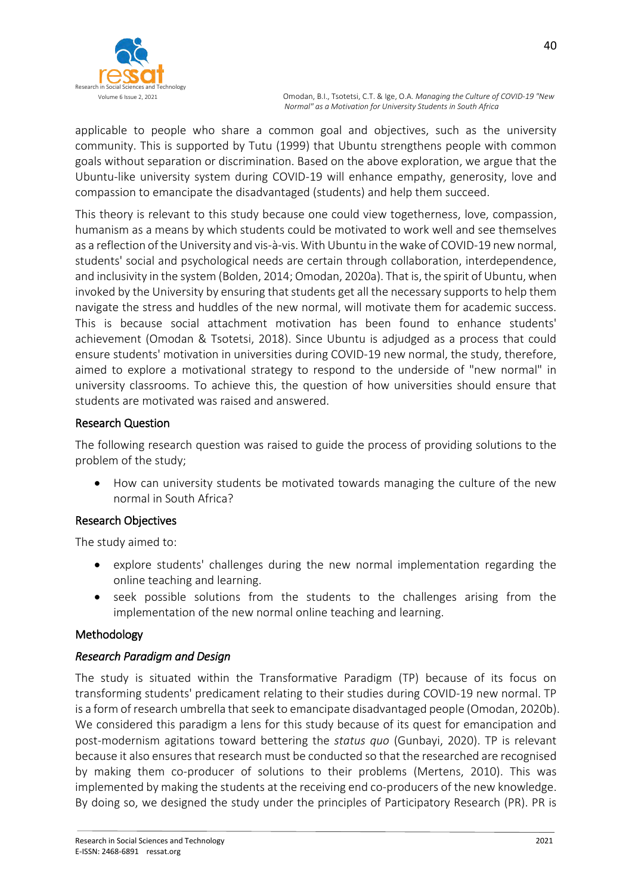

applicable to people who share a common goal and objectives, such as the university community. This is supported by Tutu (1999) that Ubuntu strengthens people with common goals without separation or discrimination. Based on the above exploration, we argue that the Ubuntu-like university system during COVID-19 will enhance empathy, generosity, love and compassion to emancipate the disadvantaged (students) and help them succeed.

This theory is relevant to this study because one could view togetherness, love, compassion, humanism as a means by which students could be motivated to work well and see themselves as a reflection of the University and vis-à-vis. With Ubuntu in the wake of COVID-19 new normal, students' social and psychological needs are certain through collaboration, interdependence, and inclusivity in the system (Bolden, 2014; Omodan, 2020a). That is, the spirit of Ubuntu, when invoked by the University by ensuring that students get all the necessary supports to help them navigate the stress and huddles of the new normal, will motivate them for academic success. This is because social attachment motivation has been found to enhance students' achievement (Omodan & Tsotetsi, 2018). Since Ubuntu is adjudged as a process that could ensure students' motivation in universities during COVID-19 new normal, the study, therefore, aimed to explore a motivational strategy to respond to the underside of "new normal" in university classrooms. To achieve this, the question of how universities should ensure that students are motivated was raised and answered.

# Research Question

The following research question was raised to guide the process of providing solutions to the problem of the study;

 How can university students be motivated towards managing the culture of the new normal in South Africa?

# Research Objectives

The study aimed to:

- explore students' challenges during the new normal implementation regarding the online teaching and learning.
- seek possible solutions from the students to the challenges arising from the implementation of the new normal online teaching and learning.

#### Methodology

# *Research Paradigm and Design*

The study is situated within the Transformative Paradigm (TP) because of its focus on transforming students' predicament relating to their studies during COVID-19 new normal. TP is a form of research umbrella that seek to emancipate disadvantaged people (Omodan, 2020b). We considered this paradigm a lens for this study because of its quest for emancipation and post-modernism agitations toward bettering the *status quo* (Gunbayi, 2020). TP is relevant because it also ensures that research must be conducted so that the researched are recognised by making them co-producer of solutions to their problems (Mertens, 2010). This was implemented by making the students at the receiving end co-producers of the new knowledge. By doing so, we designed the study under the principles of Participatory Research (PR). PR is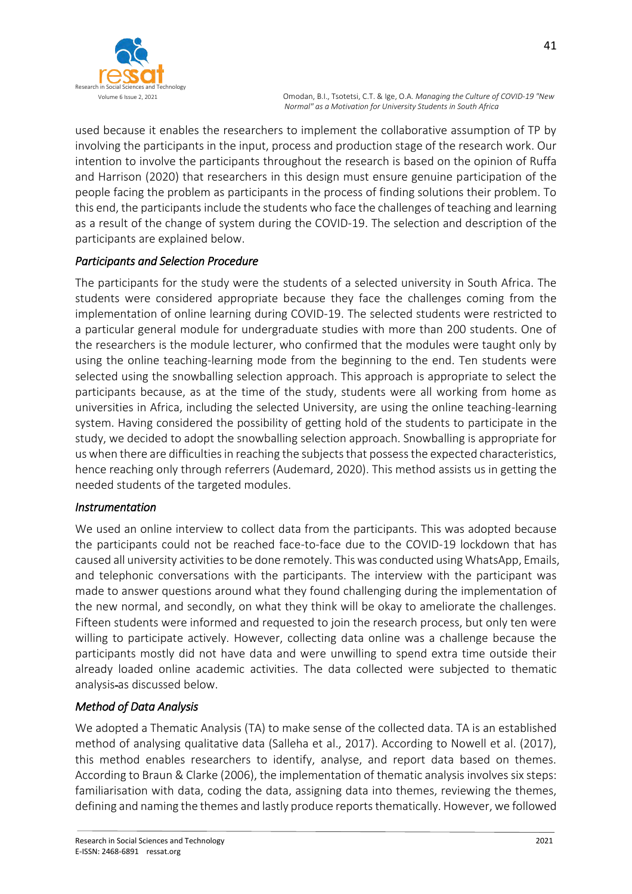

used because it enables the researchers to implement the collaborative assumption of TP by involving the participants in the input, process and production stage of the research work. Our intention to involve the participants throughout the research is based on the opinion of Ruffa and Harrison (2020) that researchers in this design must ensure genuine participation of the people facing the problem as participants in the process of finding solutions their problem. To this end, the participants include the students who face the challenges of teaching and learning as a result of the change of system during the COVID-19. The selection and description of the participants are explained below.

# *Participants and Selection Procedure*

The participants for the study were the students of a selected university in South Africa. The students were considered appropriate because they face the challenges coming from the implementation of online learning during COVID-19. The selected students were restricted to a particular general module for undergraduate studies with more than 200 students. One of the researchers is the module lecturer, who confirmed that the modules were taught only by using the online teaching-learning mode from the beginning to the end. Ten students were selected using the snowballing selection approach. This approach is appropriate to select the participants because, as at the time of the study, students were all working from home as universities in Africa, including the selected University, are using the online teaching-learning system. Having considered the possibility of getting hold of the students to participate in the study, we decided to adopt the snowballing selection approach. Snowballing is appropriate for us when there are difficulties in reaching the subjects that possess the expected characteristics, hence reaching only through referrers (Audemard, 2020). This method assists us in getting the needed students of the targeted modules.

# *Instrumentation*

We used an online interview to collect data from the participants. This was adopted because the participants could not be reached face-to-face due to the COVID-19 lockdown that has caused all university activities to be done remotely. This was conducted using WhatsApp, Emails, and telephonic conversations with the participants. The interview with the participant was made to answer questions around what they found challenging during the implementation of the new normal, and secondly, on what they think will be okay to ameliorate the challenges. Fifteen students were informed and requested to join the research process, but only ten were willing to participate actively. However, collecting data online was a challenge because the participants mostly did not have data and were unwilling to spend extra time outside their already loaded online academic activities. The data collected were subjected to thematic analysis as discussed below.

# *Method of Data Analysis*

We adopted a Thematic Analysis (TA) to make sense of the collected data. TA is an established method of analysing qualitative data (Salleha et al., 2017). According to Nowell et al. (2017), this method enables researchers to identify, analyse, and report data based on themes. According to Braun & Clarke (2006), the implementation of thematic analysis involves six steps: familiarisation with data, coding the data, assigning data into themes, reviewing the themes, defining and naming the themes and lastly produce reports thematically. However, we followed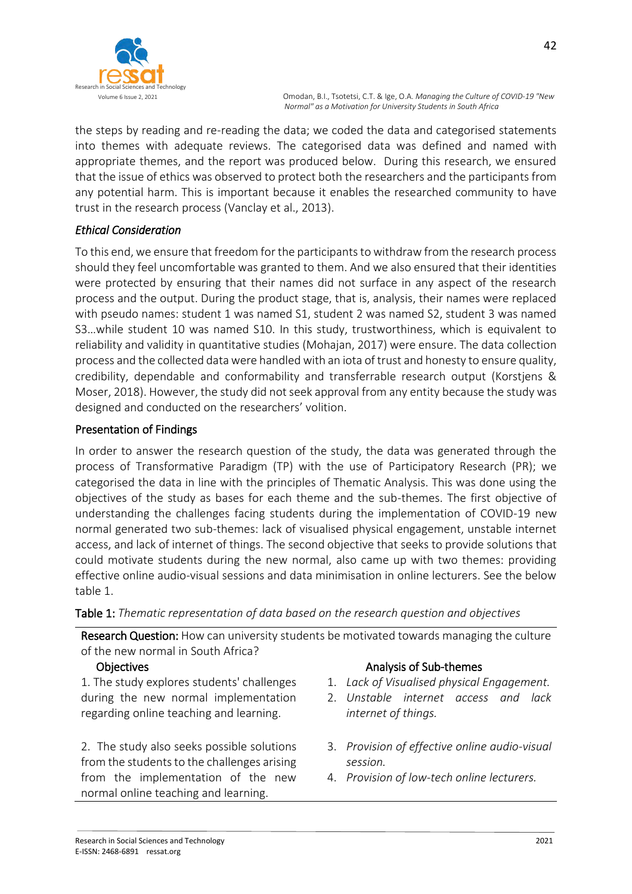

the steps by reading and re-reading the data; we coded the data and categorised statements into themes with adequate reviews. The categorised data was defined and named with appropriate themes, and the report was produced below. During this research, we ensured that the issue of ethics was observed to protect both the researchers and the participants from any potential harm. This is important because it enables the researched community to have trust in the research process (Vanclay et al., 2013).

# *Ethical Consideration*

To this end, we ensure that freedom for the participants to withdraw from the research process should they feel uncomfortable was granted to them. And we also ensured that their identities were protected by ensuring that their names did not surface in any aspect of the research process and the output. During the product stage, that is, analysis, their names were replaced with pseudo names: student 1 was named S1, student 2 was named S2, student 3 was named S3…while student 10 was named S10. In this study, trustworthiness, which is equivalent to reliability and validity in quantitative studies (Mohajan, 2017) were ensure. The data collection process and the collected data were handled with an iota of trust and honesty to ensure quality, credibility, dependable and conformability and transferrable research output (Korstjens & Moser, 2018). However, the study did not seek approval from any entity because the study was designed and conducted on the researchers' volition.

# Presentation of Findings

In order to answer the research question of the study, the data was generated through the process of Transformative Paradigm (TP) with the use of Participatory Research (PR); we categorised the data in line with the principles of Thematic Analysis. This was done using the objectives of the study as bases for each theme and the sub-themes. The first objective of understanding the challenges facing students during the implementation of COVID-19 new normal generated two sub-themes: lack of visualised physical engagement, unstable internet access, and lack of internet of things. The second objective that seeks to provide solutions that could motivate students during the new normal, also came up with two themes: providing effective online audio-visual sessions and data minimisation in online lecturers. See the below table 1.

Table 1: *Thematic representation of data based on the research question and objectives*

Research Question: How can university students be motivated towards managing the culture of the new normal in South Africa?

1. The study explores students' challenges during the new normal implementation regarding online teaching and learning.

2. The study also seeks possible solutions from the students to the challenges arising from the implementation of the new normal online teaching and learning.

#### Objectives **Analysis of Sub-themes Analysis of Sub-themes**

- 1. *Lack of Visualised physical Engagement.*
- 2. *Unstable internet access and lack internet of things.*
- 3. *Provision of effective online audio-visual session.*
- 4. *Provision of low-tech online lecturers.*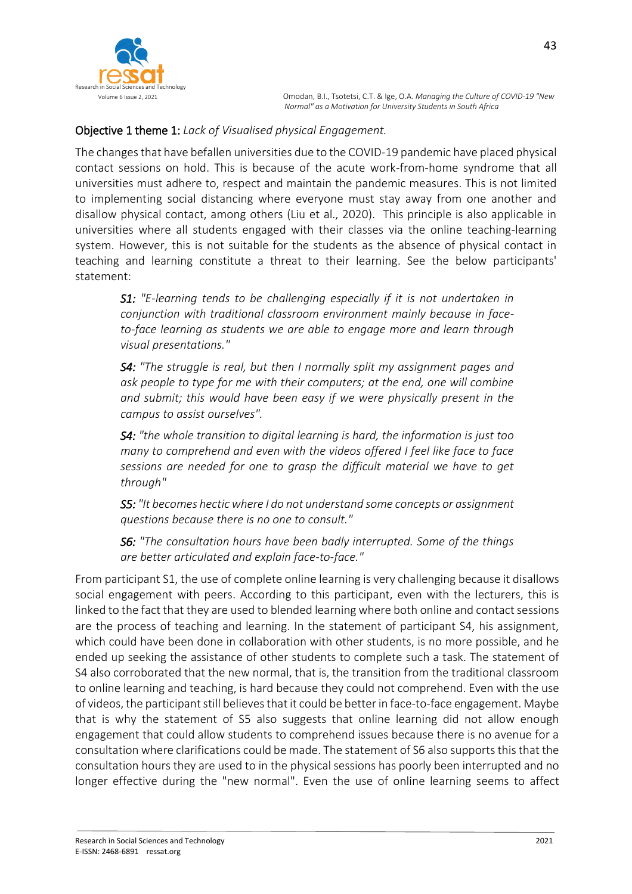

### Objective 1 theme 1: *Lack of Visualised physical Engagement.*

The changes that have befallen universities due to the COVID-19 pandemic have placed physical contact sessions on hold. This is because of the acute work-from-home syndrome that all universities must adhere to, respect and maintain the pandemic measures. This is not limited to implementing social distancing where everyone must stay away from one another and disallow physical contact, among others (Liu et al., 2020). This principle is also applicable in universities where all students engaged with their classes via the online teaching-learning system. However, this is not suitable for the students as the absence of physical contact in teaching and learning constitute a threat to their learning. See the below participants' statement:

*S1: "E-learning tends to be challenging especially if it is not undertaken in conjunction with traditional classroom environment mainly because in faceto-face learning as students we are able to engage more and learn through visual presentations."*

*S4: "The struggle is real, but then I normally split my assignment pages and ask people to type for me with their computers; at the end, one will combine and submit; this would have been easy if we were physically present in the campus to assist ourselves".*

*S4: "the whole transition to digital learning is hard, the information is just too many to comprehend and even with the videos offered I feel like face to face sessions are needed for one to grasp the difficult material we have to get through"* 

*S5: "It becomes hectic where I do not understand some concepts or assignment questions because there is no one to consult."*

*S6: "The consultation hours have been badly interrupted. Some of the things are better articulated and explain face-to-face."*

From participant S1, the use of complete online learning is very challenging because it disallows social engagement with peers. According to this participant, even with the lecturers, this is linked to the fact that they are used to blended learning where both online and contact sessions are the process of teaching and learning. In the statement of participant S4, his assignment, which could have been done in collaboration with other students, is no more possible, and he ended up seeking the assistance of other students to complete such a task. The statement of S4 also corroborated that the new normal, that is, the transition from the traditional classroom to online learning and teaching, is hard because they could not comprehend. Even with the use of videos, the participant still believes that it could be better in face-to-face engagement. Maybe that is why the statement of S5 also suggests that online learning did not allow enough engagement that could allow students to comprehend issues because there is no avenue for a consultation where clarifications could be made. The statement of S6 also supports this that the consultation hours they are used to in the physical sessions has poorly been interrupted and no longer effective during the "new normal". Even the use of online learning seems to affect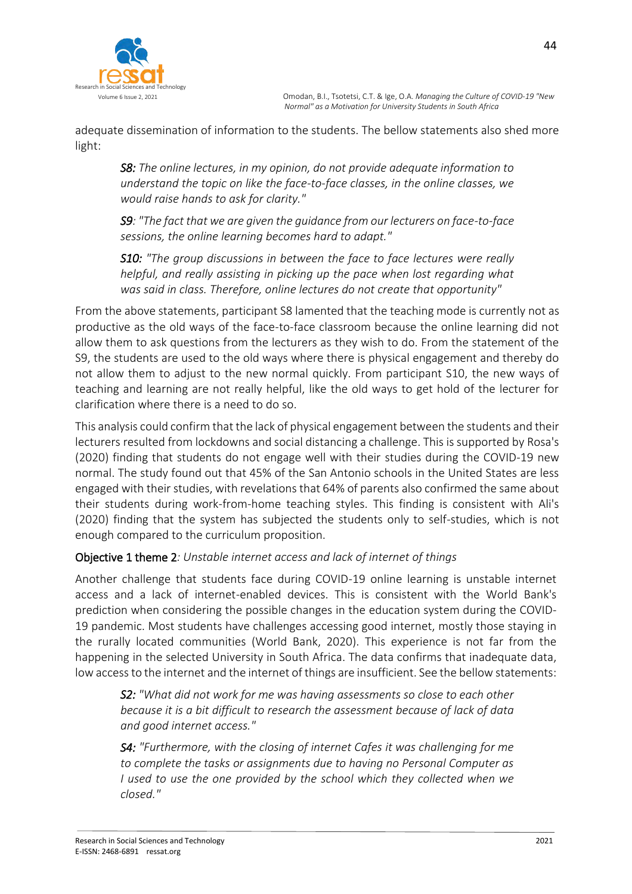

adequate dissemination of information to the students. The bellow statements also shed more light:

*S8: The online lectures, in my opinion, do not provide adequate information to understand the topic on like the face-to-face classes, in the online classes, we would raise hands to ask for clarity."*

*S9: "The fact that we are given the guidance from our lecturers on face-to-face sessions, the online learning becomes hard to adapt."*

*S10: "The group discussions in between the face to face lectures were really helpful, and really assisting in picking up the pace when lost regarding what was said in class. Therefore, online lectures do not create that opportunity"*

From the above statements, participant S8 lamented that the teaching mode is currently not as productive as the old ways of the face-to-face classroom because the online learning did not allow them to ask questions from the lecturers as they wish to do. From the statement of the S9, the students are used to the old ways where there is physical engagement and thereby do not allow them to adjust to the new normal quickly. From participant S10, the new ways of teaching and learning are not really helpful, like the old ways to get hold of the lecturer for clarification where there is a need to do so.

This analysis could confirm that the lack of physical engagement between the students and their lecturers resulted from lockdowns and social distancing a challenge. This is supported by Rosa's (2020) finding that students do not engage well with their studies during the COVID-19 new normal. The study found out that 45% of the San Antonio schools in the United States are less engaged with their studies, with revelations that 64% of parents also confirmed the same about their students during work-from-home teaching styles. This finding is consistent with Ali's (2020) finding that the system has subjected the students only to self-studies, which is not enough compared to the curriculum proposition.

# Objective 1 theme 2*: Unstable internet access and lack of internet of things*

Another challenge that students face during COVID-19 online learning is unstable internet access and a lack of internet-enabled devices. This is consistent with the World Bank's prediction when considering the possible changes in the education system during the COVID-19 pandemic. Most students have challenges accessing good internet, mostly those staying in the rurally located communities (World Bank, 2020). This experience is not far from the happening in the selected University in South Africa. The data confirms that inadequate data, low access to the internet and the internet of things are insufficient. See the bellow statements:

*S2: "What did not work for me was having assessments so close to each other because it is a bit difficult to research the assessment because of lack of data and good internet access."* 

*S4: "Furthermore, with the closing of internet Cafes it was challenging for me to complete the tasks or assignments due to having no Personal Computer as I used to use the one provided by the school which they collected when we closed."*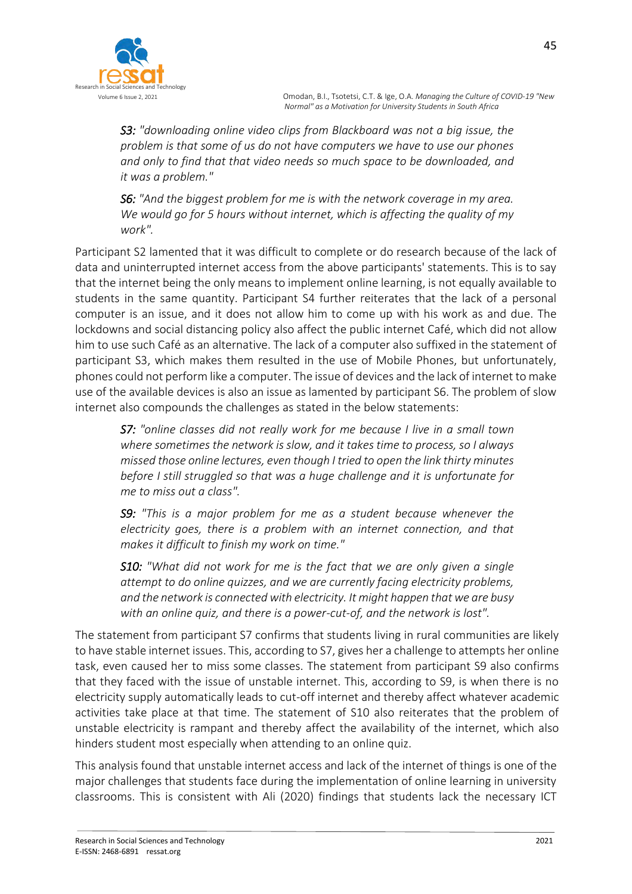

*S3: "downloading online video clips from Blackboard was not a big issue, the problem is that some of us do not have computers we have to use our phones and only to find that that video needs so much space to be downloaded, and it was a problem."*

*S6: "And the biggest problem for me is with the network coverage in my area. We would go for 5 hours without internet, which is affecting the quality of my work".*

Participant S2 lamented that it was difficult to complete or do research because of the lack of data and uninterrupted internet access from the above participants' statements. This is to say that the internet being the only means to implement online learning, is not equally available to students in the same quantity. Participant S4 further reiterates that the lack of a personal computer is an issue, and it does not allow him to come up with his work as and due. The lockdowns and social distancing policy also affect the public internet Café, which did not allow him to use such Café as an alternative. The lack of a computer also suffixed in the statement of participant S3, which makes them resulted in the use of Mobile Phones, but unfortunately, phones could not perform like a computer. The issue of devices and the lack of internet to make use of the available devices is also an issue as lamented by participant S6. The problem of slow internet also compounds the challenges as stated in the below statements:

*S7: "online classes did not really work for me because I live in a small town where sometimes the network is slow, and it takes time to process, so I always missed those online lectures, even though I tried to open the link thirty minutes before I still struggled so that was a huge challenge and it is unfortunate for me to miss out a class".*

*S9: "This is a major problem for me as a student because whenever the electricity goes, there is a problem with an internet connection, and that makes it difficult to finish my work on time."*

*S10: "What did not work for me is the fact that we are only given a single attempt to do online quizzes, and we are currently facing electricity problems, and the network is connected with electricity. It might happen that we are busy with an online quiz, and there is a power-cut-of, and the network is lost".*

The statement from participant S7 confirms that students living in rural communities are likely to have stable internet issues. This, according to S7, gives her a challenge to attempts her online task, even caused her to miss some classes. The statement from participant S9 also confirms that they faced with the issue of unstable internet. This, according to S9, is when there is no electricity supply automatically leads to cut-off internet and thereby affect whatever academic activities take place at that time. The statement of S10 also reiterates that the problem of unstable electricity is rampant and thereby affect the availability of the internet, which also hinders student most especially when attending to an online quiz.

This analysis found that unstable internet access and lack of the internet of things is one of the major challenges that students face during the implementation of online learning in university classrooms. This is consistent with Ali (2020) findings that students lack the necessary ICT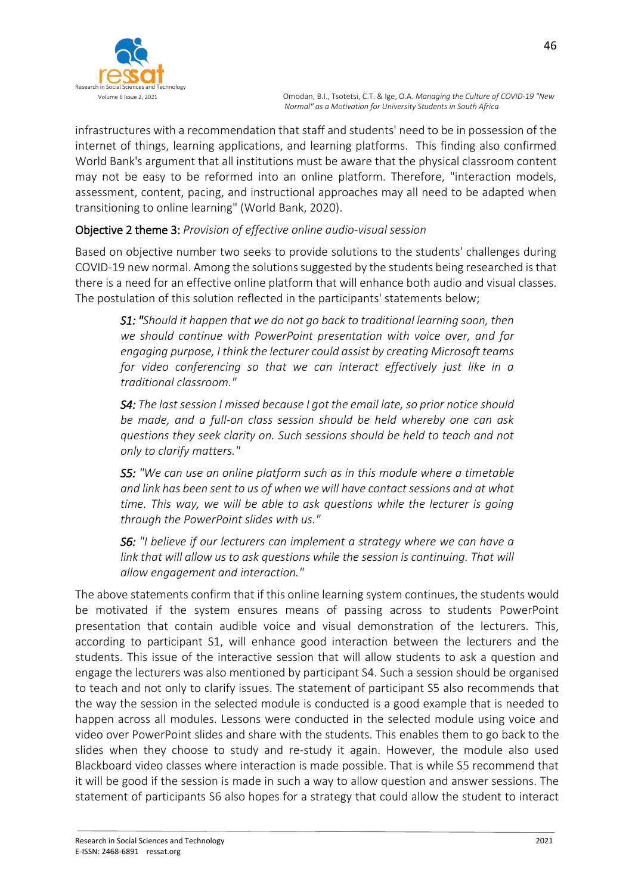infrastructures with a recommendation that staff and students' need to be in possession of the internet of things, learning applications, and learning platforms. This finding also confirmed World Bank's argument that all institutions must be aware that the physical classroom content may not be easy to be reformed into an online platform. Therefore, "interaction models, assessment, content, pacing, and instructional approaches may all need to be adapted when transitioning to online learning" (World Bank, 2020).

# Objective 2 theme 3: *Provision of effective online audio-visual session*

Based on objective number two seeks to provide solutions to the students' challenges during COVID-19 new normal. Among the solutions suggested by the students being researched is that there is a need for an effective online platform that will enhance both audio and visual classes. The postulation of this solution reflected in the participants' statements below;

*S1: "Should it happen that we do not go back to traditional learning soon, then we should continue with PowerPoint presentation with voice over, and for engaging purpose, I think the lecturer could assist by creating Microsoft teams for video conferencing so that we can interact effectively just like in a traditional classroom."*

*S4: The last session I missed because I got the email late, so prior notice should be made, and a full-on class session should be held whereby one can ask questions they seek clarity on. Such sessions should be held to teach and not only to clarify matters."*

*S5: "We can use an online platform such as in this module where a timetable and link has been sent to us of when we will have contact sessions and at what time. This way, we will be able to ask questions while the lecturer is going through the PowerPoint slides with us."*

*S6: "I believe if our lecturers can implement a strategy where we can have a link that will allow us to ask questions while the session is continuing. That will allow engagement and interaction."*

The above statements confirm that if this online learning system continues, the students would be motivated if the system ensures means of passing across to students PowerPoint presentation that contain audible voice and visual demonstration of the lecturers. This, according to participant S1, will enhance good interaction between the lecturers and the students. This issue of the interactive session that will allow students to ask a question and engage the lecturers was also mentioned by participant S4. Such a session should be organised to teach and not only to clarify issues. The statement of participant S5 also recommends that the way the session in the selected module is conducted is a good example that is needed to happen across all modules. Lessons were conducted in the selected module using voice and video over PowerPoint slides and share with the students. This enables them to go back to the slides when they choose to study and re-study it again. However, the module also used Blackboard video classes where interaction is made possible. That is while S5 recommend that it will be good if the session is made in such a way to allow question and answer sessions. The statement of participants S6 also hopes for a strategy that could allow the student to interact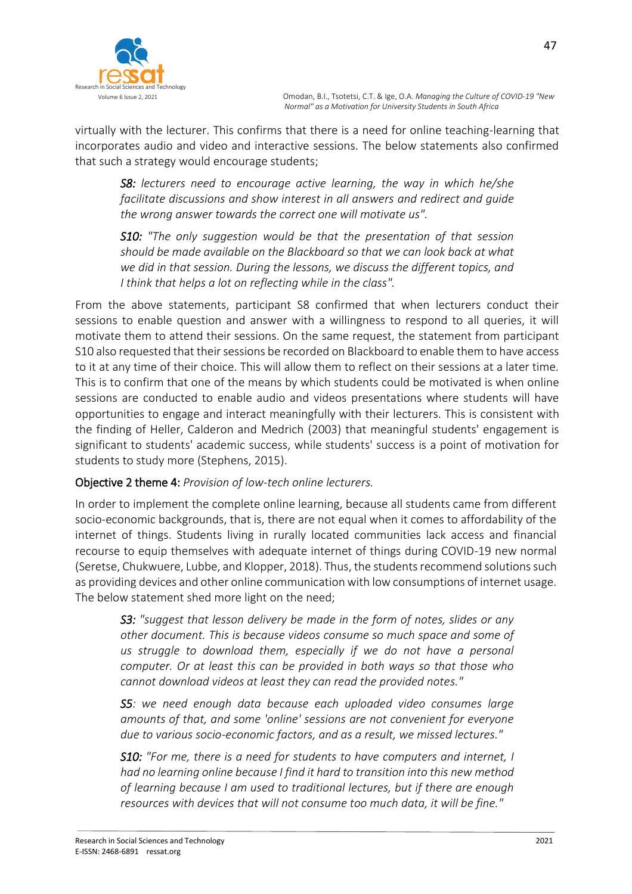

virtually with the lecturer. This confirms that there is a need for online teaching-learning that incorporates audio and video and interactive sessions. The below statements also confirmed that such a strategy would encourage students;

*S8: lecturers need to encourage active learning, the way in which he/she facilitate discussions and show interest in all answers and redirect and guide the wrong answer towards the correct one will motivate us".*

*S10: "The only suggestion would be that the presentation of that session should be made available on the Blackboard so that we can look back at what we did in that session. During the lessons, we discuss the different topics, and I think that helps a lot on reflecting while in the class".*

From the above statements, participant S8 confirmed that when lecturers conduct their sessions to enable question and answer with a willingness to respond to all queries, it will motivate them to attend their sessions. On the same request, the statement from participant S10 also requested that their sessions be recorded on Blackboard to enable them to have access to it at any time of their choice. This will allow them to reflect on their sessions at a later time. This is to confirm that one of the means by which students could be motivated is when online sessions are conducted to enable audio and videos presentations where students will have opportunities to engage and interact meaningfully with their lecturers. This is consistent with the finding of Heller, Calderon and Medrich (2003) that meaningful students' engagement is significant to students' academic success, while students' success is a point of motivation for students to study more (Stephens, 2015).

# Objective 2 theme 4: *Provision of low-tech online lecturers.*

In order to implement the complete online learning, because all students came from different socio-economic backgrounds, that is, there are not equal when it comes to affordability of the internet of things. Students living in rurally located communities lack access and financial recourse to equip themselves with adequate internet of things during COVID-19 new normal (Seretse, Chukwuere, Lubbe, and Klopper, 2018). Thus, the students recommend solutions such as providing devices and other online communication with low consumptions of internet usage. The below statement shed more light on the need;

*S3: "suggest that lesson delivery be made in the form of notes, slides or any other document. This is because videos consume so much space and some of us struggle to download them, especially if we do not have a personal computer. Or at least this can be provided in both ways so that those who cannot download videos at least they can read the provided notes."*

*S5: we need enough data because each uploaded video consumes large amounts of that, and some 'online' sessions are not convenient for everyone due to various socio-economic factors, and as a result, we missed lectures."*

*S10: "For me, there is a need for students to have computers and internet, I had no learning online because I find it hard to transition into this new method of learning because I am used to traditional lectures, but if there are enough resources with devices that will not consume too much data, it will be fine."*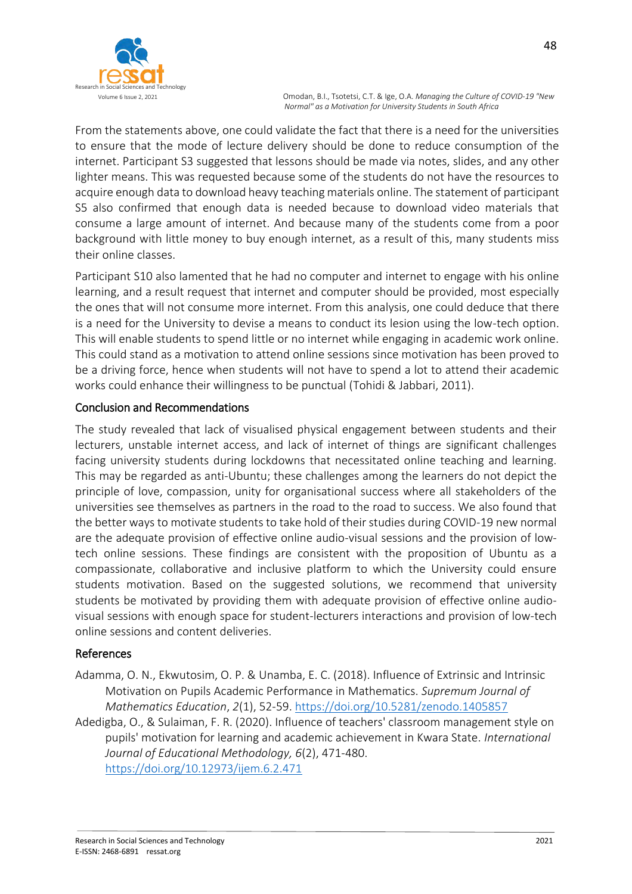

From the statements above, one could validate the fact that there is a need for the universities to ensure that the mode of lecture delivery should be done to reduce consumption of the internet. Participant S3 suggested that lessons should be made via notes, slides, and any other lighter means. This was requested because some of the students do not have the resources to acquire enough data to download heavy teaching materials online. The statement of participant S5 also confirmed that enough data is needed because to download video materials that consume a large amount of internet. And because many of the students come from a poor background with little money to buy enough internet, as a result of this, many students miss their online classes.

Participant S10 also lamented that he had no computer and internet to engage with his online learning, and a result request that internet and computer should be provided, most especially the ones that will not consume more internet. From this analysis, one could deduce that there is a need for the University to devise a means to conduct its lesion using the low-tech option. This will enable students to spend little or no internet while engaging in academic work online. This could stand as a motivation to attend online sessions since motivation has been proved to be a driving force, hence when students will not have to spend a lot to attend their academic works could enhance their willingness to be punctual (Tohidi & Jabbari, 2011).

# Conclusion and Recommendations

The study revealed that lack of visualised physical engagement between students and their lecturers, unstable internet access, and lack of internet of things are significant challenges facing university students during lockdowns that necessitated online teaching and learning. This may be regarded as anti-Ubuntu; these challenges among the learners do not depict the principle of love, compassion, unity for organisational success where all stakeholders of the universities see themselves as partners in the road to the road to success. We also found that the better ways to motivate students to take hold of their studies during COVID-19 new normal are the adequate provision of effective online audio-visual sessions and the provision of lowtech online sessions. These findings are consistent with the proposition of Ubuntu as a compassionate, collaborative and inclusive platform to which the University could ensure students motivation. Based on the suggested solutions, we recommend that university students be motivated by providing them with adequate provision of effective online audiovisual sessions with enough space for student-lecturers interactions and provision of low-tech online sessions and content deliveries.

# References

- Adamma, O. N., Ekwutosim, O. P. & Unamba, E. C. (2018). Influence of Extrinsic and Intrinsic Motivation on Pupils Academic Performance in Mathematics. *Supremum Journal of Mathematics Education*, *2*(1), 52-59[. https://doi.org/10.5281/zenodo.1405857](https://doi.org/10.5281/zenodo.1405857)
- Adedigba, O., & Sulaiman, F. R. (2020). Influence of teachers' classroom management style on pupils' motivation for learning and academic achievement in Kwara State. *International Journal of Educational Methodology, 6*(2), 471-480. <https://doi.org/10.12973/ijem.6.2.471>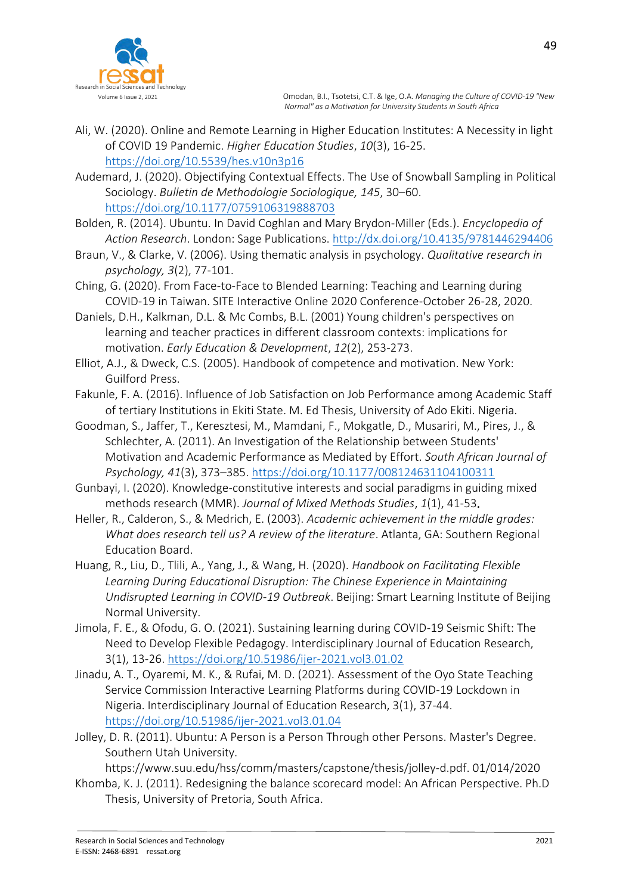

- Ali, W. (2020). Online and Remote Learning in Higher Education Institutes: A Necessity in light of COVID 19 Pandemic. *Higher Education Studies*, *10*(3), 16-25. <https://doi.org/10.5539/hes.v10n3p16>
- Audemard, J. (2020). Objectifying Contextual Effects. The Use of Snowball Sampling in Political Sociology. *Bulletin de Methodologie Sociologique, 145*, 30–60. <https://doi.org/10.1177/0759106319888703>
- Bolden, R. (2014). Ubuntu. In David Coghlan and Mary Brydon-Miller (Eds.). *Encyclopedia of Action Research*. London: Sage Publications.<http://dx.doi.org/10.4135/9781446294406>
- Braun, V., & Clarke, V. (2006). Using thematic analysis in psychology. *Qualitative research in psychology, 3*(2), 77-101.
- Ching, G. (2020). From Face-to-Face to Blended Learning: Teaching and Learning during COVID-19 in Taiwan. SITE Interactive Online 2020 Conference-October 26-28, 2020.
- Daniels, D.H., Kalkman, D.L. & Mc Combs, B.L. (2001) Young children's perspectives on learning and teacher practices in different classroom contexts: implications for motivation. *Early Education & Development*, *12*(2), 253-273.
- Elliot, A.J., & Dweck, C.S. (2005). Handbook of competence and motivation. New York: Guilford Press.
- Fakunle, F. A. (2016). Influence of Job Satisfaction on Job Performance among Academic Staff of tertiary Institutions in Ekiti State. M. Ed Thesis, University of Ado Ekiti. Nigeria.
- Goodman, S., Jaffer, T., Keresztesi, M., Mamdani, F., Mokgatle, D., Musariri, M., Pires, J., & Schlechter, A. (2011). An Investigation of the Relationship between Students' Motivation and Academic Performance as Mediated by Effort. *South African Journal of Psychology, 41*(3), 373–385.<https://doi.org/10.1177/008124631104100311>
- Gunbayi, I. (2020). Knowledge-constitutive interests and social paradigms in guiding mixed methods research (MMR). *Journal of Mixed Methods Studies*, *1*(1), 41-53.
- Heller, R., Calderon, S., & Medrich, E. (2003). *Academic achievement in the middle grades: What does research tell us? A review of the literature*. Atlanta, GA: Southern Regional Education Board.
- Huang, R., Liu, D., Tlili, A., Yang, J., & Wang, H. (2020). *Handbook on Facilitating Flexible Learning During Educational Disruption: The Chinese Experience in Maintaining Undisrupted Learning in COVID-19 Outbreak*. Beijing: Smart Learning Institute of Beijing Normal University.
- Jimola, F. E., & Ofodu, G. O. (2021). Sustaining learning during COVID-19 Seismic Shift: The Need to Develop Flexible Pedagogy. Interdisciplinary Journal of Education Research, 3(1), 13-26.<https://doi.org/10.51986/ijer-2021.vol3.01.02>
- Jinadu, A. T., Oyaremi, M. K., & Rufai, M. D. (2021). Assessment of the Oyo State Teaching Service Commission Interactive Learning Platforms during COVID-19 Lockdown in Nigeria. Interdisciplinary Journal of Education Research, 3(1), 37-44. <https://doi.org/10.51986/ijer-2021.vol3.01.04>
- Jolley, D. R. (2011). Ubuntu: A Person is a Person Through other Persons. Master's Degree. Southern Utah University.

https://www.suu.edu/hss/comm/masters/capstone/thesis/jolley-d.pdf. 01/014/2020

Khomba, K. J. (2011). Redesigning the balance scorecard model: An African Perspective. Ph.D Thesis, University of Pretoria, South Africa.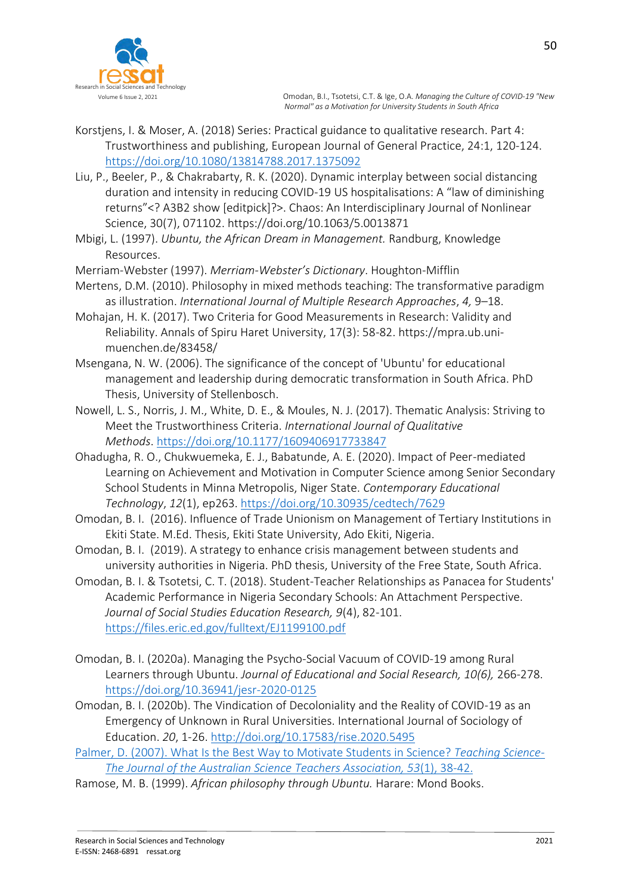

- Korstjens, I. & Moser, A. (2018) Series: Practical guidance to qualitative research. Part 4: Trustworthiness and publishing, European Journal of General Practice, 24:1, 120-124. <https://doi.org/10.1080/13814788.2017.1375092>
- Liu, P., Beeler, P., & Chakrabarty, R. K. (2020). Dynamic interplay between social distancing duration and intensity in reducing COVID-19 US hospitalisations: A "law of diminishing returns"<? A3B2 show [editpick]?>. Chaos: An Interdisciplinary Journal of Nonlinear Science, 30(7), 071102. https://doi.org/10.1063/5.0013871
- Mbigi, L. (1997). *Ubuntu, the African Dream in Management.* Randburg, Knowledge Resources.
- Merriam-Webster (1997). *Merriam-Webster's Dictionary*. Houghton-Mifflin
- Mertens, D.M. (2010). Philosophy in mixed methods teaching: The transformative paradigm as illustration. *International Journal of Multiple Research Approaches*, *4,* 9–18.
- Mohajan, H. K. (2017). Two Criteria for Good Measurements in Research: Validity and Reliability. Annals of Spiru Haret University, 17(3): 58-82. https://mpra.ub.unimuenchen.de/83458/
- Msengana, N. W. (2006). The significance of the concept of 'Ubuntu' for educational management and leadership during democratic transformation in South Africa. PhD Thesis, University of Stellenbosch.
- Nowell, L. S., Norris, J. M., White, D. E., & Moules, N. J. (2017). Thematic Analysis: Striving to Meet the Trustworthiness Criteria. *International Journal of Qualitative Methods*. <https://doi.org/10.1177/1609406917733847>
- Ohadugha, R. O., Chukwuemeka, E. J., Babatunde, A. E. (2020). Impact of Peer-mediated Learning on Achievement and Motivation in Computer Science among Senior Secondary School Students in Minna Metropolis, Niger State. *Contemporary Educational Technology*, *12*(1), ep263.<https://doi.org/10.30935/cedtech/7629>
- Omodan, B. I. (2016). Influence of Trade Unionism on Management of Tertiary Institutions in Ekiti State. M.Ed. Thesis, Ekiti State University, Ado Ekiti, Nigeria.
- Omodan, B. I. (2019). A strategy to enhance crisis management between students and university authorities in Nigeria. PhD thesis, University of the Free State, South Africa.
- Omodan, B. I. & Tsotetsi, C. T. (2018). Student-Teacher Relationships as Panacea for Students' Academic Performance in Nigeria Secondary Schools: An Attachment Perspective. *Journal of Social Studies Education Research, 9*(4), 82-101. <https://files.eric.ed.gov/fulltext/EJ1199100.pdf>
- Omodan, B. I. (2020a). Managing the Psycho-Social Vacuum of COVID-19 among Rural Learners through Ubuntu. *Journal of Educational and Social Research, 10(6),* 266-278. <https://doi.org/10.36941/jesr-2020-0125>
- Omodan, B. I. (2020b). The Vindication of Decoloniality and the Reality of COVID-19 as an Emergency of Unknown in Rural Universities. International Journal of Sociology of Education. *20*, 1-26.<http://doi.org/10.17583/rise.2020.5495>
- Palmer, D. (2007). What Is the Best Way to Motivate Students in Science? *Teaching Science-The Journal of the Australian Science Teachers Association, 53*(1), 38-42.
- Ramose, M. B. (1999). *African philosophy through Ubuntu.* Harare: Mond Books.